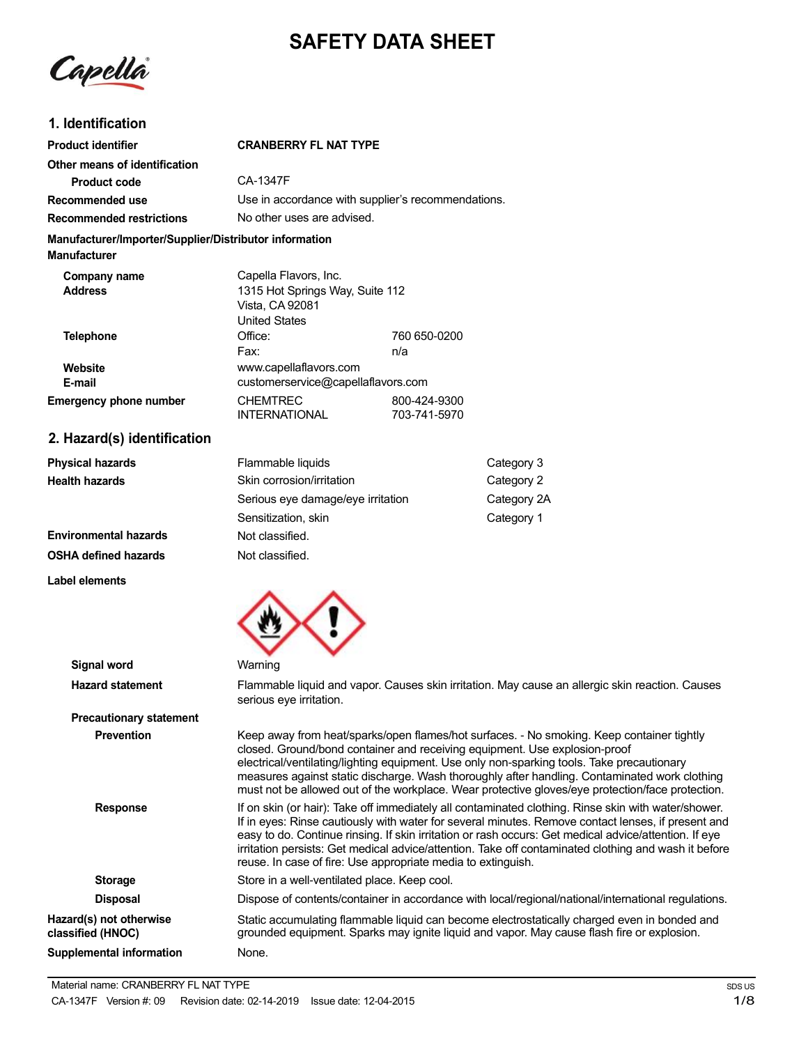# **SAFETY DATA SHEET**

Capella

# **1. Identification**

| <b>Product identifier</b>                                                     | <b>CRANBERRY FL NAT TYPE</b>                                                                        |                              |             |
|-------------------------------------------------------------------------------|-----------------------------------------------------------------------------------------------------|------------------------------|-------------|
| Other means of identification                                                 |                                                                                                     |                              |             |
| <b>Product code</b>                                                           | CA-1347F                                                                                            |                              |             |
| Recommended use                                                               | Use in accordance with supplier's recommendations.                                                  |                              |             |
| <b>Recommended restrictions</b>                                               | No other uses are advised.                                                                          |                              |             |
| Manufacturer/Importer/Supplier/Distributor information<br><b>Manufacturer</b> |                                                                                                     |                              |             |
| Company name<br><b>Address</b>                                                | Capella Flavors, Inc.<br>1315 Hot Springs Way, Suite 112<br>Vista, CA 92081<br><b>United States</b> |                              |             |
| <b>Telephone</b>                                                              | Office:<br>Fax:                                                                                     | 760 650-0200<br>n/a          |             |
| Website<br>E-mail                                                             | www.capellaflavors.com<br>customerservice@capellaflavors.com                                        |                              |             |
| <b>Emergency phone number</b>                                                 | <b>CHEMTREC</b><br><b>INTERNATIONAL</b>                                                             | 800-424-9300<br>703-741-5970 |             |
| 2. Hazard(s) identification                                                   |                                                                                                     |                              |             |
| <b>Physical hazards</b>                                                       | Flammable liquids                                                                                   |                              | Category 3  |
| <b>Health hazards</b>                                                         | Skin corrosion/irritation                                                                           |                              | Category 2  |
|                                                                               | Serious eye damage/eye irritation                                                                   |                              | Category 2A |
|                                                                               | Sensitization, skin                                                                                 |                              | Category 1  |

**Environmental hazards OSHA defined hazards**

**Label elements**



Not classified. Not classified.

| <b>Signal word</b>                           | Warning                                                                                                                                                                                                                                                                                                                                                                                                                                                                                    |
|----------------------------------------------|--------------------------------------------------------------------------------------------------------------------------------------------------------------------------------------------------------------------------------------------------------------------------------------------------------------------------------------------------------------------------------------------------------------------------------------------------------------------------------------------|
| <b>Hazard statement</b>                      | Flammable liquid and vapor. Causes skin irritation. May cause an allergic skin reaction. Causes<br>serious eye irritation.                                                                                                                                                                                                                                                                                                                                                                 |
| <b>Precautionary statement</b>               |                                                                                                                                                                                                                                                                                                                                                                                                                                                                                            |
| <b>Prevention</b>                            | Keep away from heat/sparks/open flames/hot surfaces. - No smoking. Keep container tightly<br>closed. Ground/bond container and receiving equipment. Use explosion-proof<br>electrical/ventilating/lighting equipment. Use only non-sparking tools. Take precautionary<br>measures against static discharge. Wash thoroughly after handling. Contaminated work clothing<br>must not be allowed out of the workplace. Wear protective gloves/eye protection/face protection.                 |
| <b>Response</b>                              | If on skin (or hair): Take off immediately all contaminated clothing. Rinse skin with water/shower.<br>If in eyes: Rinse cautiously with water for several minutes. Remove contact lenses, if present and<br>easy to do. Continue rinsing. If skin irritation or rash occurs: Get medical advice/attention. If eye<br>irritation persists: Get medical advice/attention. Take off contaminated clothing and wash it before<br>reuse. In case of fire: Use appropriate media to extinguish. |
| <b>Storage</b>                               | Store in a well-ventilated place. Keep cool.                                                                                                                                                                                                                                                                                                                                                                                                                                               |
| <b>Disposal</b>                              | Dispose of contents/container in accordance with local/regional/national/international regulations.                                                                                                                                                                                                                                                                                                                                                                                        |
| Hazard(s) not otherwise<br>classified (HNOC) | Static accumulating flammable liquid can become electrostatically charged even in bonded and<br>grounded equipment. Sparks may ignite liquid and vapor. May cause flash fire or explosion.                                                                                                                                                                                                                                                                                                 |
| <b>Supplemental information</b>              | None.                                                                                                                                                                                                                                                                                                                                                                                                                                                                                      |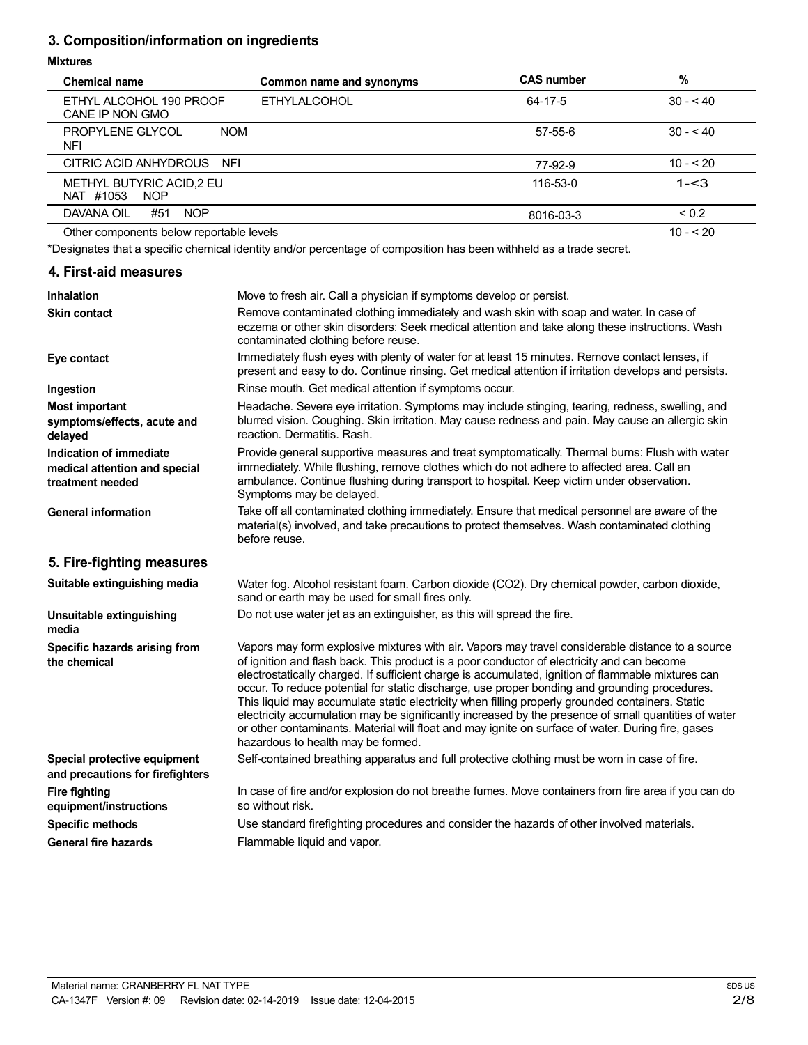# **3. Composition/information on ingredients**

### **Mixtures**

| <b>Chemical name</b>                                 | Common name and synonyms | <b>CAS number</b> | %          |
|------------------------------------------------------|--------------------------|-------------------|------------|
| ETHYL ALCOHOL 190 PROOF<br>CANE IP NON GMO           | <b>ETHYLALCOHOL</b>      | 64-17-5           | $30 - 40$  |
| PROPYLENE GLYCOL<br><b>NOM</b><br>NFI                |                          | $57 - 55 - 6$     | $30 - 40$  |
| CITRIC ACID ANHYDROUS NFI                            |                          | 77-92-9           | $10 - 20$  |
| METHYL BUTYRIC ACID, 2 EU<br>NAT #1053<br><b>NOP</b> |                          | 116-53-0          | $1 - 3$    |
| DAVANA OIL<br>#51<br><b>NOP</b>                      |                          | 8016-03-3         | ${}_{0.2}$ |
| Other components below reportable levels             |                          |                   | $10 - 520$ |

Other components below reportable levels

\*Designates that a specific chemical identity and/or percentage of composition has been withheld as a trade secret.

# **4. First-aid measures**

| <b>Inhalation</b>                                                            | Move to fresh air. Call a physician if symptoms develop or persist.                                                                                                                                                                                                                                                                                                                                                                                                                                                                                                                                                                                                                                                                                         |
|------------------------------------------------------------------------------|-------------------------------------------------------------------------------------------------------------------------------------------------------------------------------------------------------------------------------------------------------------------------------------------------------------------------------------------------------------------------------------------------------------------------------------------------------------------------------------------------------------------------------------------------------------------------------------------------------------------------------------------------------------------------------------------------------------------------------------------------------------|
| Skin contact                                                                 | Remove contaminated clothing immediately and wash skin with soap and water. In case of<br>eczema or other skin disorders: Seek medical attention and take along these instructions. Wash<br>contaminated clothing before reuse.                                                                                                                                                                                                                                                                                                                                                                                                                                                                                                                             |
| Eye contact                                                                  | Immediately flush eyes with plenty of water for at least 15 minutes. Remove contact lenses, if<br>present and easy to do. Continue rinsing. Get medical attention if irritation develops and persists.                                                                                                                                                                                                                                                                                                                                                                                                                                                                                                                                                      |
| Ingestion                                                                    | Rinse mouth. Get medical attention if symptoms occur.                                                                                                                                                                                                                                                                                                                                                                                                                                                                                                                                                                                                                                                                                                       |
| <b>Most important</b><br>symptoms/effects, acute and<br>delayed              | Headache. Severe eye irritation. Symptoms may include stinging, tearing, redness, swelling, and<br>blurred vision. Coughing. Skin irritation. May cause redness and pain. May cause an allergic skin<br>reaction. Dermatitis. Rash.                                                                                                                                                                                                                                                                                                                                                                                                                                                                                                                         |
| Indication of immediate<br>medical attention and special<br>treatment needed | Provide general supportive measures and treat symptomatically. Thermal burns: Flush with water<br>immediately. While flushing, remove clothes which do not adhere to affected area. Call an<br>ambulance. Continue flushing during transport to hospital. Keep victim under observation.<br>Symptoms may be delayed.                                                                                                                                                                                                                                                                                                                                                                                                                                        |
| <b>General information</b>                                                   | Take off all contaminated clothing immediately. Ensure that medical personnel are aware of the<br>material(s) involved, and take precautions to protect themselves. Wash contaminated clothing<br>before reuse.                                                                                                                                                                                                                                                                                                                                                                                                                                                                                                                                             |
| 5. Fire-fighting measures                                                    |                                                                                                                                                                                                                                                                                                                                                                                                                                                                                                                                                                                                                                                                                                                                                             |
| Suitable extinguishing media                                                 | Water fog. Alcohol resistant foam. Carbon dioxide (CO2). Dry chemical powder, carbon dioxide,<br>sand or earth may be used for small fires only.                                                                                                                                                                                                                                                                                                                                                                                                                                                                                                                                                                                                            |
| Unsuitable extinguishing<br>media                                            | Do not use water jet as an extinguisher, as this will spread the fire.                                                                                                                                                                                                                                                                                                                                                                                                                                                                                                                                                                                                                                                                                      |
| Specific hazards arising from<br>the chemical                                | Vapors may form explosive mixtures with air. Vapors may travel considerable distance to a source<br>of ignition and flash back. This product is a poor conductor of electricity and can become<br>electrostatically charged. If sufficient charge is accumulated, ignition of flammable mixtures can<br>occur. To reduce potential for static discharge, use proper bonding and grounding procedures.<br>This liquid may accumulate static electricity when filling properly grounded containers. Static<br>electricity accumulation may be significantly increased by the presence of small quantities of water<br>or other contaminants. Material will float and may ignite on surface of water. During fire, gases<br>hazardous to health may be formed. |
| Special protective equipment<br>and precautions for firefighters             | Self-contained breathing apparatus and full protective clothing must be worn in case of fire.                                                                                                                                                                                                                                                                                                                                                                                                                                                                                                                                                                                                                                                               |
| <b>Fire fighting</b><br>equipment/instructions                               | In case of fire and/or explosion do not breathe fumes. Move containers from fire area if you can do<br>so without risk.                                                                                                                                                                                                                                                                                                                                                                                                                                                                                                                                                                                                                                     |
| <b>Specific methods</b>                                                      | Use standard firefighting procedures and consider the hazards of other involved materials.                                                                                                                                                                                                                                                                                                                                                                                                                                                                                                                                                                                                                                                                  |
| <b>General fire hazards</b>                                                  | Flammable liquid and vapor.                                                                                                                                                                                                                                                                                                                                                                                                                                                                                                                                                                                                                                                                                                                                 |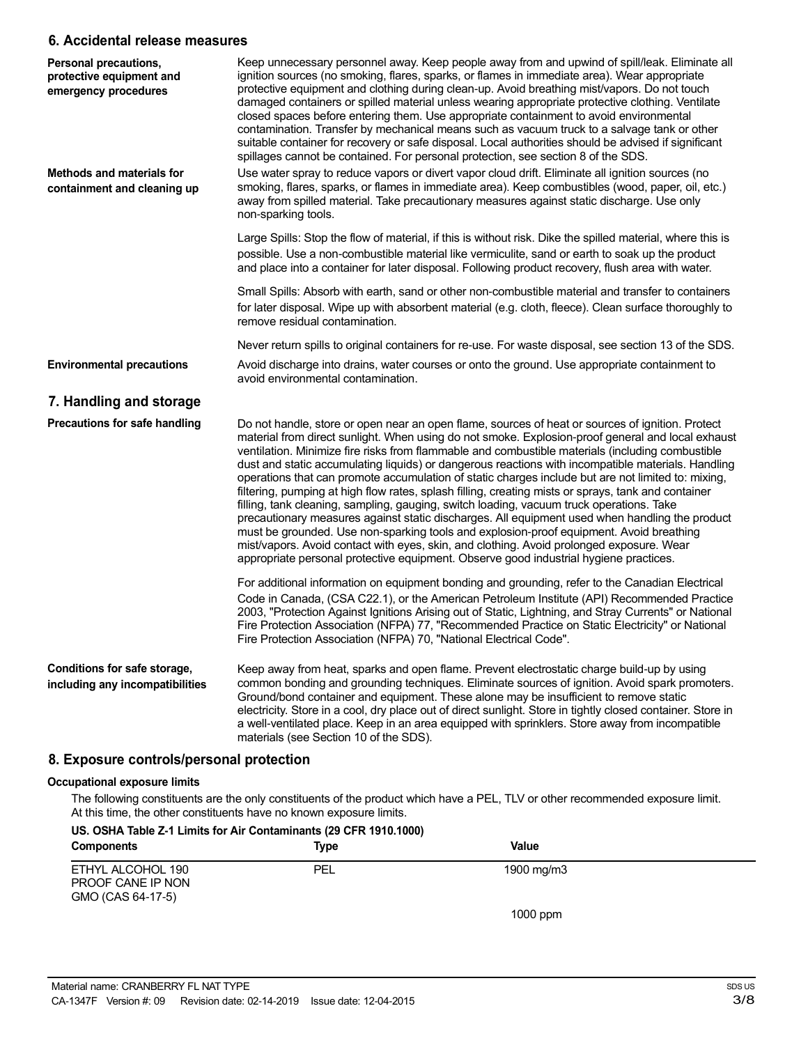### **6. Accidental release measures**

| Personal precautions,<br>protective equipment and<br>emergency procedures | Keep unnecessary personnel away. Keep people away from and upwind of spill/leak. Eliminate all<br>ignition sources (no smoking, flares, sparks, or flames in immediate area). Wear appropriate<br>protective equipment and clothing during clean-up. Avoid breathing mist/vapors. Do not touch<br>damaged containers or spilled material unless wearing appropriate protective clothing. Ventilate<br>closed spaces before entering them. Use appropriate containment to avoid environmental<br>contamination. Transfer by mechanical means such as vacuum truck to a salvage tank or other<br>suitable container for recovery or safe disposal. Local authorities should be advised if significant<br>spillages cannot be contained. For personal protection, see section 8 of the SDS.                                                                                                                                                                                                                                                                                                                   |
|---------------------------------------------------------------------------|------------------------------------------------------------------------------------------------------------------------------------------------------------------------------------------------------------------------------------------------------------------------------------------------------------------------------------------------------------------------------------------------------------------------------------------------------------------------------------------------------------------------------------------------------------------------------------------------------------------------------------------------------------------------------------------------------------------------------------------------------------------------------------------------------------------------------------------------------------------------------------------------------------------------------------------------------------------------------------------------------------------------------------------------------------------------------------------------------------|
| Methods and materials for<br>containment and cleaning up                  | Use water spray to reduce vapors or divert vapor cloud drift. Eliminate all ignition sources (no<br>smoking, flares, sparks, or flames in immediate area). Keep combustibles (wood, paper, oil, etc.)<br>away from spilled material. Take precautionary measures against static discharge. Use only<br>non-sparking tools.                                                                                                                                                                                                                                                                                                                                                                                                                                                                                                                                                                                                                                                                                                                                                                                 |
|                                                                           | Large Spills: Stop the flow of material, if this is without risk. Dike the spilled material, where this is<br>possible. Use a non-combustible material like vermiculite, sand or earth to soak up the product<br>and place into a container for later disposal. Following product recovery, flush area with water.                                                                                                                                                                                                                                                                                                                                                                                                                                                                                                                                                                                                                                                                                                                                                                                         |
|                                                                           | Small Spills: Absorb with earth, sand or other non-combustible material and transfer to containers<br>for later disposal. Wipe up with absorbent material (e.g. cloth, fleece). Clean surface thoroughly to<br>remove residual contamination.                                                                                                                                                                                                                                                                                                                                                                                                                                                                                                                                                                                                                                                                                                                                                                                                                                                              |
|                                                                           | Never return spills to original containers for re-use. For waste disposal, see section 13 of the SDS.                                                                                                                                                                                                                                                                                                                                                                                                                                                                                                                                                                                                                                                                                                                                                                                                                                                                                                                                                                                                      |
| <b>Environmental precautions</b>                                          | Avoid discharge into drains, water courses or onto the ground. Use appropriate containment to<br>avoid environmental contamination.                                                                                                                                                                                                                                                                                                                                                                                                                                                                                                                                                                                                                                                                                                                                                                                                                                                                                                                                                                        |
| 7. Handling and storage                                                   |                                                                                                                                                                                                                                                                                                                                                                                                                                                                                                                                                                                                                                                                                                                                                                                                                                                                                                                                                                                                                                                                                                            |
| Precautions for safe handling                                             | Do not handle, store or open near an open flame, sources of heat or sources of ignition. Protect<br>material from direct sunlight. When using do not smoke. Explosion-proof general and local exhaust<br>ventilation. Minimize fire risks from flammable and combustible materials (including combustible<br>dust and static accumulating liquids) or dangerous reactions with incompatible materials. Handling<br>operations that can promote accumulation of static charges include but are not limited to: mixing,<br>filtering, pumping at high flow rates, splash filling, creating mists or sprays, tank and container<br>filling, tank cleaning, sampling, gauging, switch loading, vacuum truck operations. Take<br>precautionary measures against static discharges. All equipment used when handling the product<br>must be grounded. Use non-sparking tools and explosion-proof equipment. Avoid breathing<br>mist/vapors. Avoid contact with eyes, skin, and clothing. Avoid prolonged exposure. Wear<br>appropriate personal protective equipment. Observe good industrial hygiene practices. |
|                                                                           | For additional information on equipment bonding and grounding, refer to the Canadian Electrical<br>Code in Canada, (CSA C22.1), or the American Petroleum Institute (API) Recommended Practice<br>2003, "Protection Against Ignitions Arising out of Static, Lightning, and Stray Currents" or National<br>Fire Protection Association (NFPA) 77, "Recommended Practice on Static Electricity" or National<br>Fire Protection Association (NFPA) 70, "National Electrical Code".                                                                                                                                                                                                                                                                                                                                                                                                                                                                                                                                                                                                                           |
| Conditions for safe storage,<br>including any incompatibilities           | Keep away from heat, sparks and open flame. Prevent electrostatic charge build-up by using<br>common bonding and grounding techniques. Eliminate sources of ignition. Avoid spark promoters.<br>Ground/bond container and equipment. These alone may be insufficient to remove static<br>electricity. Store in a cool, dry place out of direct sunlight. Store in tightly closed container. Store in<br>a well-ventilated place. Keep in an area equipped with sprinklers. Store away from incompatible<br>materials (see Section 10 of the SDS).                                                                                                                                                                                                                                                                                                                                                                                                                                                                                                                                                          |
| 8. Exposure controls/personal protection                                  |                                                                                                                                                                                                                                                                                                                                                                                                                                                                                                                                                                                                                                                                                                                                                                                                                                                                                                                                                                                                                                                                                                            |

#### **Occupational exposure limits**

The following constituents are the only constituents of the product which have a PEL, TLV or other recommended exposure limit. At this time, the other constituents have no known exposure limits.

## **US. OSHA Table Z-1 Limits for Air Contaminants (29 CFR 1910.1000)**

| <b>Components</b>                                           | Type | Value      |
|-------------------------------------------------------------|------|------------|
| ETHYL ALCOHOL 190<br>PROOF CANE IP NON<br>GMO (CAS 64-17-5) | PEL  | 1900 mg/m3 |
|                                                             |      | $1000$ ppm |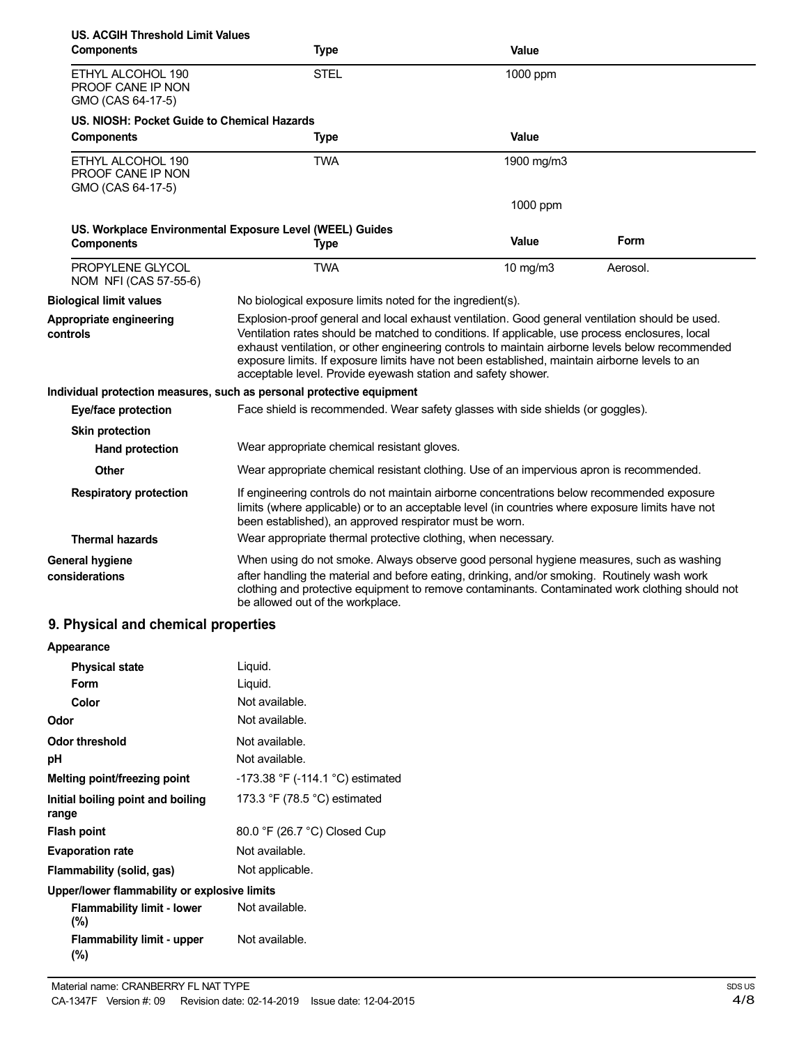| US. ACGIH Threshold Limit Values<br><b>Components</b>       | <b>Type</b>                                                                                                                                                                                                                                                                                                                                                                                                                                                             | Value      |          |
|-------------------------------------------------------------|-------------------------------------------------------------------------------------------------------------------------------------------------------------------------------------------------------------------------------------------------------------------------------------------------------------------------------------------------------------------------------------------------------------------------------------------------------------------------|------------|----------|
| ETHYL ALCOHOL 190<br>PROOF CANE IP NON<br>GMO (CAS 64-17-5) | <b>STEL</b>                                                                                                                                                                                                                                                                                                                                                                                                                                                             | 1000 ppm   |          |
| US. NIOSH: Pocket Guide to Chemical Hazards                 |                                                                                                                                                                                                                                                                                                                                                                                                                                                                         |            |          |
| <b>Components</b>                                           | <b>Type</b>                                                                                                                                                                                                                                                                                                                                                                                                                                                             | Value      |          |
| ETHYL ALCOHOL 190<br>PROOF CANE IP NON<br>GMO (CAS 64-17-5) | <b>TWA</b>                                                                                                                                                                                                                                                                                                                                                                                                                                                              | 1900 mg/m3 |          |
|                                                             |                                                                                                                                                                                                                                                                                                                                                                                                                                                                         | 1000 ppm   |          |
| US. Workplace Environmental Exposure Level (WEEL) Guides    |                                                                                                                                                                                                                                                                                                                                                                                                                                                                         |            |          |
| <b>Components</b>                                           | <b>Type</b>                                                                                                                                                                                                                                                                                                                                                                                                                                                             | Value      | Form     |
| PROPYLENE GLYCOL<br>NOM NFI (CAS 57-55-6)                   | <b>TWA</b>                                                                                                                                                                                                                                                                                                                                                                                                                                                              | 10 mg/m3   | Aerosol. |
| <b>Biological limit values</b>                              | No biological exposure limits noted for the ingredient(s).                                                                                                                                                                                                                                                                                                                                                                                                              |            |          |
| Appropriate engineering<br>controls                         | Explosion-proof general and local exhaust ventilation. Good general ventilation should be used.<br>Ventilation rates should be matched to conditions. If applicable, use process enclosures, local<br>exhaust ventilation, or other engineering controls to maintain airborne levels below recommended<br>exposure limits. If exposure limits have not been established, maintain airborne levels to an<br>acceptable level. Provide eyewash station and safety shower. |            |          |
|                                                             | Individual protection measures, such as personal protective equipment                                                                                                                                                                                                                                                                                                                                                                                                   |            |          |
| Eye/face protection                                         | Face shield is recommended. Wear safety glasses with side shields (or goggles).                                                                                                                                                                                                                                                                                                                                                                                         |            |          |
| <b>Skin protection</b>                                      |                                                                                                                                                                                                                                                                                                                                                                                                                                                                         |            |          |
| <b>Hand protection</b>                                      | Wear appropriate chemical resistant gloves.                                                                                                                                                                                                                                                                                                                                                                                                                             |            |          |
| Other                                                       | Wear appropriate chemical resistant clothing. Use of an impervious apron is recommended.                                                                                                                                                                                                                                                                                                                                                                                |            |          |
| <b>Respiratory protection</b>                               | If engineering controls do not maintain airborne concentrations below recommended exposure<br>limits (where applicable) or to an acceptable level (in countries where exposure limits have not<br>been established), an approved respirator must be worn.                                                                                                                                                                                                               |            |          |
| <b>Thermal hazards</b>                                      | Wear appropriate thermal protective clothing, when necessary.                                                                                                                                                                                                                                                                                                                                                                                                           |            |          |
| <b>General hygiene</b><br>considerations                    | When using do not smoke. Always observe good personal hygiene measures, such as washing<br>after handling the material and before eating, drinking, and/or smoking. Routinely wash work<br>clothing and protective equipment to remove contaminants. Contaminated work clothing should not<br>be allowed out of the workplace.                                                                                                                                          |            |          |

# **9. Physical and chemical properties**

| Appearance                                   |                                                |
|----------------------------------------------|------------------------------------------------|
| <b>Physical state</b>                        | Liquid.                                        |
| Form                                         | Liquid.                                        |
| Color                                        | Not available.                                 |
| Odor                                         | Not available.                                 |
| <b>Odor threshold</b>                        | Not available.                                 |
| рH                                           | Not available.                                 |
| Melting point/freezing point                 | $-173.38$ °F ( $-114.1$ °C) estimated          |
| Initial boiling point and boiling<br>range   | 173.3 $\degree$ F (78.5 $\degree$ C) estimated |
| <b>Flash point</b>                           | 80.0 °F (26.7 °C) Closed Cup                   |
| <b>Evaporation rate</b>                      | Not available.                                 |
| Flammability (solid, gas)                    | Not applicable.                                |
| Upper/lower flammability or explosive limits |                                                |
| <b>Flammability limit - lower</b><br>$(\% )$ | Not available.                                 |
| <b>Flammability limit - upper</b><br>$(\%)$  | Not available.                                 |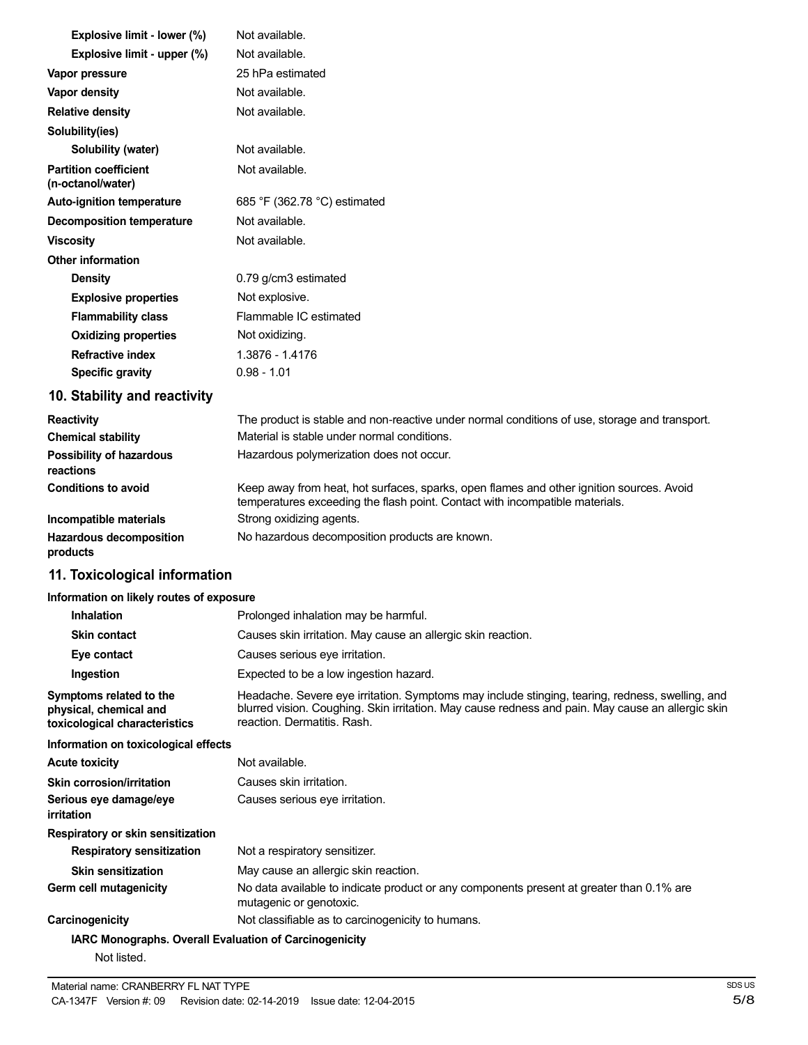| Explosive limit - lower (%)                       | Not available.                                                                                                                                                           |
|---------------------------------------------------|--------------------------------------------------------------------------------------------------------------------------------------------------------------------------|
| Explosive limit - upper (%)                       | Not available.                                                                                                                                                           |
| Vapor pressure                                    | 25 hPa estimated                                                                                                                                                         |
| Vapor density                                     | Not available.                                                                                                                                                           |
| <b>Relative density</b>                           | Not available.                                                                                                                                                           |
| Solubility(ies)                                   |                                                                                                                                                                          |
| Solubility (water)                                | Not available.                                                                                                                                                           |
| <b>Partition coefficient</b><br>(n-octanol/water) | Not available.                                                                                                                                                           |
| <b>Auto-ignition temperature</b>                  | 685 °F (362.78 °C) estimated                                                                                                                                             |
| <b>Decomposition temperature</b>                  | Not available.                                                                                                                                                           |
| <b>Viscosity</b>                                  | Not available.                                                                                                                                                           |
| Other information                                 |                                                                                                                                                                          |
| <b>Density</b>                                    | 0.79 g/cm3 estimated                                                                                                                                                     |
| <b>Explosive properties</b>                       | Not explosive.                                                                                                                                                           |
| <b>Flammability class</b>                         | Flammable IC estimated                                                                                                                                                   |
| <b>Oxidizing properties</b>                       | Not oxidizing.                                                                                                                                                           |
| <b>Refractive index</b>                           | 1.3876 - 1.4176                                                                                                                                                          |
| <b>Specific gravity</b>                           | $0.98 - 1.01$                                                                                                                                                            |
| 10. Stability and reactivity                      |                                                                                                                                                                          |
| <b>Reactivity</b>                                 | The product is stable and non-reactive under normal conditions of use, storage and transport.                                                                            |
| <b>Chemical stability</b>                         | Material is stable under normal conditions.                                                                                                                              |
| Possibility of hazardous<br>reactions             | Hazardous polymerization does not occur.                                                                                                                                 |
| <b>Conditions to avoid</b>                        | Keep away from heat, hot surfaces, sparks, open flames and other ignition sources. Avoid<br>temperatures exceeding the flash point. Contact with incompatible materials. |
| Incompatible materials                            | Strong oxidizing agents.                                                                                                                                                 |

**Hazardous decomposition** No hazardous decomposition products are known. **products**

# **11. Toxicological information**

#### **Information on likely routes of exposure**

| <b>Inhalation</b>                                                                  | Prolonged inhalation may be harmful.                                                                                                                                                                                                |
|------------------------------------------------------------------------------------|-------------------------------------------------------------------------------------------------------------------------------------------------------------------------------------------------------------------------------------|
| <b>Skin contact</b>                                                                | Causes skin irritation. May cause an allergic skin reaction.                                                                                                                                                                        |
| Eye contact                                                                        | Causes serious eye irritation.                                                                                                                                                                                                      |
| Ingestion                                                                          | Expected to be a low ingestion hazard.                                                                                                                                                                                              |
| Symptoms related to the<br>physical, chemical and<br>toxicological characteristics | Headache. Severe eye irritation. Symptoms may include stinging, tearing, redness, swelling, and<br>blurred vision. Coughing. Skin irritation. May cause redness and pain. May cause an allergic skin<br>reaction. Dermatitis. Rash. |
| Information on toxicological effects                                               |                                                                                                                                                                                                                                     |
| <b>Acute toxicity</b>                                                              | Not available.                                                                                                                                                                                                                      |
| <b>Skin corrosion/irritation</b>                                                   | Causes skin irritation.                                                                                                                                                                                                             |
| Serious eye damage/eye<br>irritation                                               | Causes serious eye irritation.                                                                                                                                                                                                      |
| Respiratory or skin sensitization                                                  |                                                                                                                                                                                                                                     |
| <b>Respiratory sensitization</b>                                                   | Not a respiratory sensitizer.                                                                                                                                                                                                       |
| <b>Skin sensitization</b>                                                          | May cause an allergic skin reaction.                                                                                                                                                                                                |
| Germ cell mutagenicity                                                             | No data available to indicate product or any components present at greater than 0.1% are<br>mutagenic or genotoxic.                                                                                                                 |
| Carcinogenicity                                                                    | Not classifiable as to carcinogenicity to humans.                                                                                                                                                                                   |
| IARC Monographs. Overall Evaluation of Carcinogenicity                             |                                                                                                                                                                                                                                     |
| Not listed.                                                                        |                                                                                                                                                                                                                                     |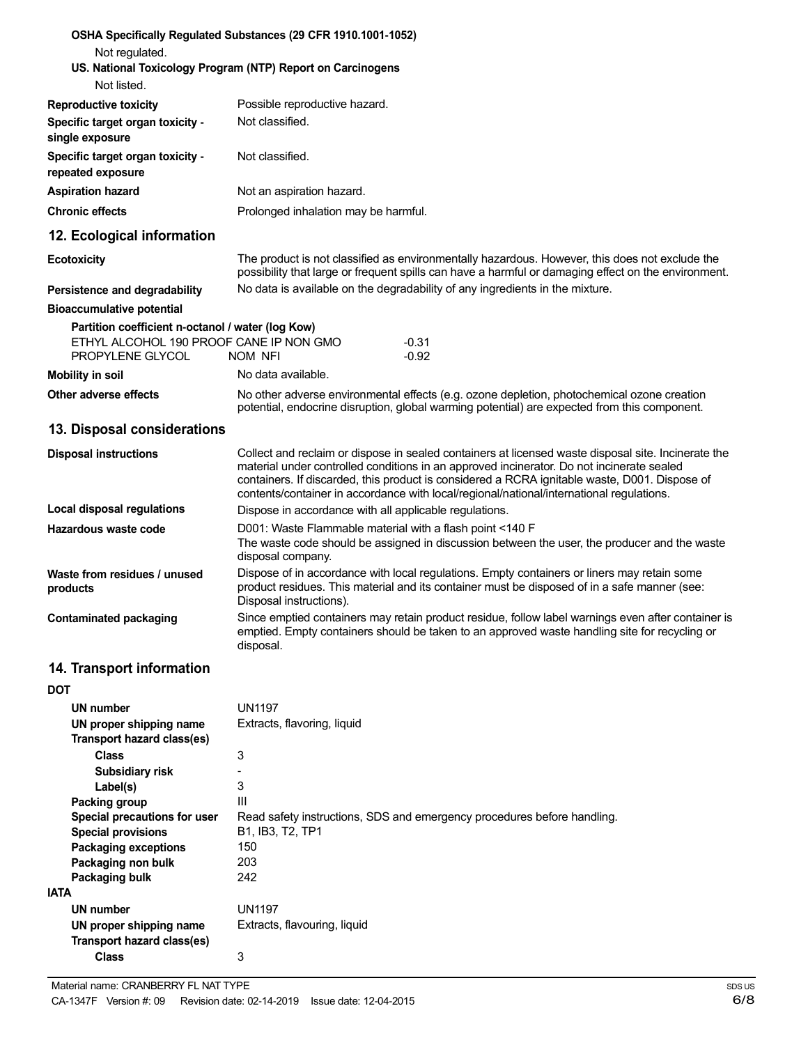| Not regulated.                                               | OSHA Specifically Regulated Substances (29 CFR 1910.1001-1052)<br>US. National Toxicology Program (NTP) Report on Carcinogens                                                                                                                                                                                                                                                                 |  |
|--------------------------------------------------------------|-----------------------------------------------------------------------------------------------------------------------------------------------------------------------------------------------------------------------------------------------------------------------------------------------------------------------------------------------------------------------------------------------|--|
| Not listed.                                                  |                                                                                                                                                                                                                                                                                                                                                                                               |  |
| <b>Reproductive toxicity</b>                                 | Possible reproductive hazard.                                                                                                                                                                                                                                                                                                                                                                 |  |
| Specific target organ toxicity -<br>single exposure          | Not classified.                                                                                                                                                                                                                                                                                                                                                                               |  |
| Specific target organ toxicity -<br>repeated exposure        | Not classified.                                                                                                                                                                                                                                                                                                                                                                               |  |
| <b>Aspiration hazard</b>                                     | Not an aspiration hazard.                                                                                                                                                                                                                                                                                                                                                                     |  |
| <b>Chronic effects</b>                                       | Prolonged inhalation may be harmful.                                                                                                                                                                                                                                                                                                                                                          |  |
| 12. Ecological information                                   |                                                                                                                                                                                                                                                                                                                                                                                               |  |
| <b>Ecotoxicity</b>                                           | The product is not classified as environmentally hazardous. However, this does not exclude the<br>possibility that large or frequent spills can have a harmful or damaging effect on the environment.                                                                                                                                                                                         |  |
| Persistence and degradability                                | No data is available on the degradability of any ingredients in the mixture.                                                                                                                                                                                                                                                                                                                  |  |
| <b>Bioaccumulative potential</b>                             |                                                                                                                                                                                                                                                                                                                                                                                               |  |
| Partition coefficient n-octanol / water (log Kow)            |                                                                                                                                                                                                                                                                                                                                                                                               |  |
| ETHYL ALCOHOL 190 PROOF CANE IP NON GMO<br>PROPYLENE GLYCOL  | $-0.31$<br>$-0.92$<br>NOM NFI                                                                                                                                                                                                                                                                                                                                                                 |  |
| <b>Mobility in soil</b>                                      | No data available.                                                                                                                                                                                                                                                                                                                                                                            |  |
| Other adverse effects                                        | No other adverse environmental effects (e.g. ozone depletion, photochemical ozone creation<br>potential, endocrine disruption, global warming potential) are expected from this component.                                                                                                                                                                                                    |  |
| 13. Disposal considerations                                  |                                                                                                                                                                                                                                                                                                                                                                                               |  |
| <b>Disposal instructions</b>                                 | Collect and reclaim or dispose in sealed containers at licensed waste disposal site. Incinerate the<br>material under controlled conditions in an approved incinerator. Do not incinerate sealed<br>containers. If discarded, this product is considered a RCRA ignitable waste, D001. Dispose of<br>contents/container in accordance with local/regional/national/international regulations. |  |
| Local disposal regulations                                   | Dispose in accordance with all applicable regulations.                                                                                                                                                                                                                                                                                                                                        |  |
| Hazardous waste code                                         | D001: Waste Flammable material with a flash point <140 F<br>The waste code should be assigned in discussion between the user, the producer and the waste<br>disposal company.                                                                                                                                                                                                                 |  |
| Waste from residues / unused<br>products                     | Dispose of in accordance with local regulations. Empty containers or liners may retain some<br>product residues. This material and its container must be disposed of in a safe manner (see:<br>Disposal instructions).                                                                                                                                                                        |  |
| <b>Contaminated packaging</b>                                | Since emptied containers may retain product residue, follow label warnings even after container is<br>emptied. Empty containers should be taken to an approved waste handling site for recycling or<br>disposal.                                                                                                                                                                              |  |
| 14. Transport information                                    |                                                                                                                                                                                                                                                                                                                                                                                               |  |
| <b>DOT</b>                                                   |                                                                                                                                                                                                                                                                                                                                                                                               |  |
| <b>UN number</b>                                             | <b>UN1197</b>                                                                                                                                                                                                                                                                                                                                                                                 |  |
| UN proper shipping name<br>Transport hazard class(es)        | Extracts, flavoring, liquid                                                                                                                                                                                                                                                                                                                                                                   |  |
| <b>Class</b>                                                 | 3                                                                                                                                                                                                                                                                                                                                                                                             |  |
| Subsidiary risk<br>Label(s)                                  | 3                                                                                                                                                                                                                                                                                                                                                                                             |  |
| Packing group                                                | Ш                                                                                                                                                                                                                                                                                                                                                                                             |  |
| Special precautions for user                                 | Read safety instructions, SDS and emergency procedures before handling.                                                                                                                                                                                                                                                                                                                       |  |
| <b>Special provisions</b>                                    | B1, IB3, T2, TP1                                                                                                                                                                                                                                                                                                                                                                              |  |
| <b>Packaging exceptions</b>                                  | 150                                                                                                                                                                                                                                                                                                                                                                                           |  |
| Packaging non bulk                                           | 203                                                                                                                                                                                                                                                                                                                                                                                           |  |
| Packaging bulk                                               | 242                                                                                                                                                                                                                                                                                                                                                                                           |  |
| <b>IATA</b><br><b>UN number</b>                              | <b>UN1197</b>                                                                                                                                                                                                                                                                                                                                                                                 |  |
| UN proper shipping name<br><b>Transport hazard class(es)</b> | Extracts, flavouring, liquid                                                                                                                                                                                                                                                                                                                                                                  |  |
| <b>Class</b>                                                 | 3                                                                                                                                                                                                                                                                                                                                                                                             |  |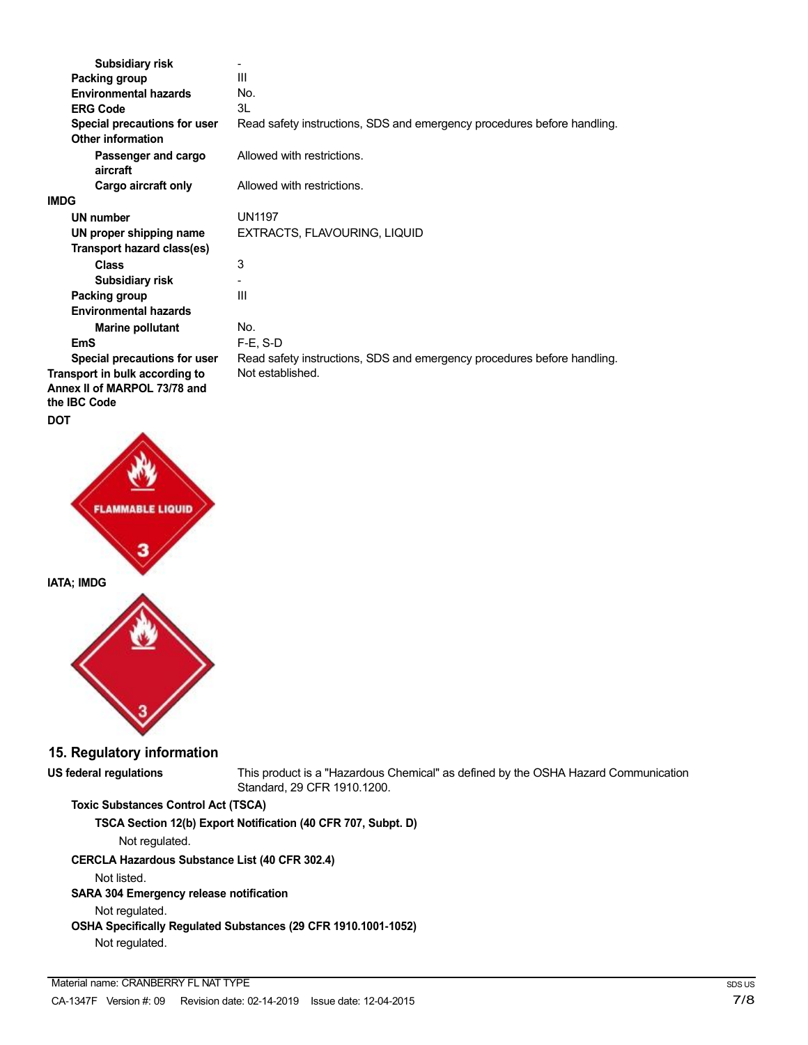| Subsidiary risk                                                                       |                                                                         |
|---------------------------------------------------------------------------------------|-------------------------------------------------------------------------|
| Packing group                                                                         | Ш                                                                       |
| <b>Environmental hazards</b>                                                          | No.                                                                     |
| <b>ERG Code</b>                                                                       | 3L                                                                      |
| Special precautions for user<br><b>Other information</b>                              | Read safety instructions, SDS and emergency procedures before handling. |
| Passenger and cargo<br>aircraft                                                       | Allowed with restrictions.                                              |
| Cargo aircraft only                                                                   | Allowed with restrictions.                                              |
| <b>IMDG</b>                                                                           |                                                                         |
| <b>UN number</b>                                                                      | UN1197                                                                  |
| UN proper shipping name                                                               | EXTRACTS, FLAVOURING, LIQUID                                            |
| Transport hazard class(es)                                                            |                                                                         |
| Class                                                                                 | 3                                                                       |
| Subsidiary risk                                                                       |                                                                         |
| Packing group                                                                         | Ш                                                                       |
| <b>Environmental hazards</b>                                                          |                                                                         |
| <b>Marine pollutant</b>                                                               | No.                                                                     |
| <b>EmS</b>                                                                            | $F-E$ , S-D                                                             |
| Special precautions for user                                                          | Read safety instructions, SDS and emergency procedures before handling. |
| Transport in bulk according to<br>Annex II of MARPOL 73/78 and<br>the <b>IBC</b> Code | Not established.                                                        |



# **15. Regulatory information**

**US federal regulations** This product is a "Hazardous Chemical" as defined by the OSHA Hazard Communication Standard, 29 CFR 1910.1200.

# **Toxic Substances Control Act (TSCA)**

**TSCA Section 12(b) Export Notification (40 CFR 707, Subpt. D)**

Not regulated.

## **CERCLA Hazardous Substance List (40 CFR 302.4)**

Not listed.

## **SARA 304 Emergency release notification**

Not regulated.

## **OSHA Specifically Regulated Substances (29 CFR 1910.1001-1052)** Not regulated.